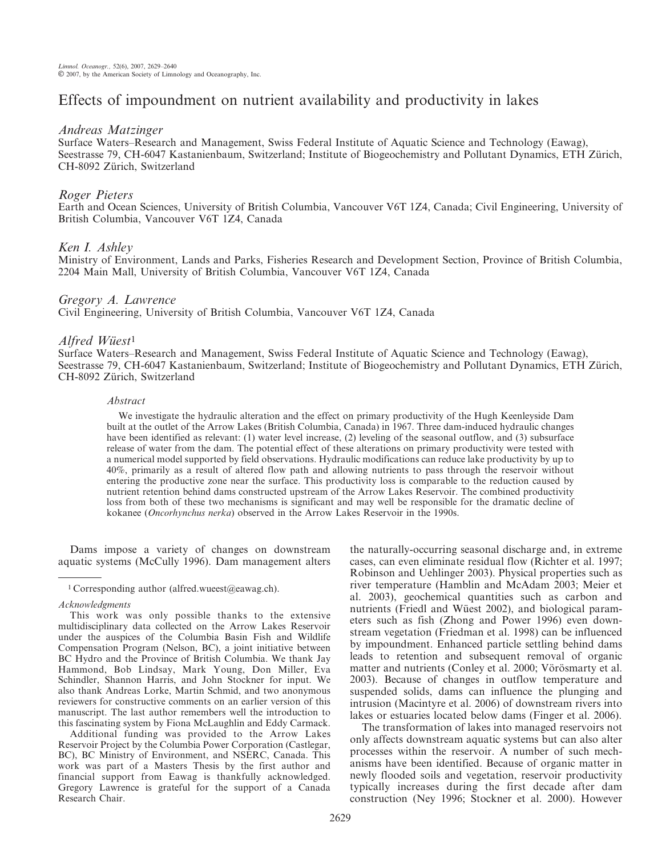# Effects of impoundment on nutrient availability and productivity in lakes

## Andreas Matzinger

Surface Waters–Research and Management, Swiss Federal Institute of Aquatic Science and Technology (Eawag), Seestrasse 79, CH-6047 Kastanienbaum, Switzerland; Institute of Biogeochemistry and Pollutant Dynamics, ETH Zürich, CH-8092 Zürich, Switzerland

# Roger Pieters

Earth and Ocean Sciences, University of British Columbia, Vancouver V6T 1Z4, Canada; Civil Engineering, University of British Columbia, Vancouver V6T 1Z4, Canada

# Ken I. Ashley

Ministry of Environment, Lands and Parks, Fisheries Research and Development Section, Province of British Columbia, 2204 Main Mall, University of British Columbia, Vancouver V6T 1Z4, Canada

# Gregory A. Lawrence

Civil Engineering, University of British Columbia, Vancouver V6T 1Z4, Canada

# $Alfred\ W\ddot{u}est^1$

Surface Waters–Research and Management, Swiss Federal Institute of Aquatic Science and Technology (Eawag), Seestrasse 79, CH-6047 Kastanienbaum, Switzerland; Institute of Biogeochemistry and Pollutant Dynamics, ETH Zürich, CH-8092 Zürich, Switzerland

### Abstract

We investigate the hydraulic alteration and the effect on primary productivity of the Hugh Keenleyside Dam built at the outlet of the Arrow Lakes (British Columbia, Canada) in 1967. Three dam-induced hydraulic changes have been identified as relevant: (1) water level increase, (2) leveling of the seasonal outflow, and (3) subsurface release of water from the dam. The potential effect of these alterations on primary productivity were tested with a numerical model supported by field observations. Hydraulic modifications can reduce lake productivity by up to 40%, primarily as a result of altered flow path and allowing nutrients to pass through the reservoir without entering the productive zone near the surface. This productivity loss is comparable to the reduction caused by nutrient retention behind dams constructed upstream of the Arrow Lakes Reservoir. The combined productivity loss from both of these two mechanisms is significant and may well be responsible for the dramatic decline of kokanee (Oncorhynchus nerka) observed in the Arrow Lakes Reservoir in the 1990s.

Dams impose a variety of changes on downstream aquatic systems (McCully 1996). Dam management alters

Additional funding was provided to the Arrow Lakes Reservoir Project by the Columbia Power Corporation (Castlegar, BC), BC Ministry of Environment, and NSERC, Canada. This work was part of a Masters Thesis by the first author and financial support from Eawag is thankfully acknowledged. Gregory Lawrence is grateful for the support of a Canada Research Chair.

the naturally-occurring seasonal discharge and, in extreme cases, can even eliminate residual flow (Richter et al. 1997; Robinson and Uehlinger 2003). Physical properties such as river temperature (Hamblin and McAdam 2003; Meier et al. 2003), geochemical quantities such as carbon and nutrients (Friedl and Wüest 2002), and biological parameters such as fish (Zhong and Power 1996) even downstream vegetation (Friedman et al. 1998) can be influenced by impoundment. Enhanced particle settling behind dams leads to retention and subsequent removal of organic matter and nutrients (Conley et al. 2000; Vörösmarty et al. 2003). Because of changes in outflow temperature and suspended solids, dams can influence the plunging and intrusion (Macintyre et al. 2006) of downstream rivers into lakes or estuaries located below dams (Finger et al. 2006).

The transformation of lakes into managed reservoirs not only affects downstream aquatic systems but can also alter processes within the reservoir. A number of such mechanisms have been identified. Because of organic matter in newly flooded soils and vegetation, reservoir productivity typically increases during the first decade after dam construction (Ney 1996; Stockner et al. 2000). However

<sup>1</sup> Corresponding author (alfred.wueest@eawag.ch).

Acknowledgments

This work was only possible thanks to the extensive multidisciplinary data collected on the Arrow Lakes Reservoir under the auspices of the Columbia Basin Fish and Wildlife Compensation Program (Nelson, BC), a joint initiative between BC Hydro and the Province of British Columbia. We thank Jay Hammond, Bob Lindsay, Mark Young, Don Miller, Eva Schindler, Shannon Harris, and John Stockner for input. We also thank Andreas Lorke, Martin Schmid, and two anonymous reviewers for constructive comments on an earlier version of this manuscript. The last author remembers well the introduction to this fascinating system by Fiona McLaughlin and Eddy Carmack.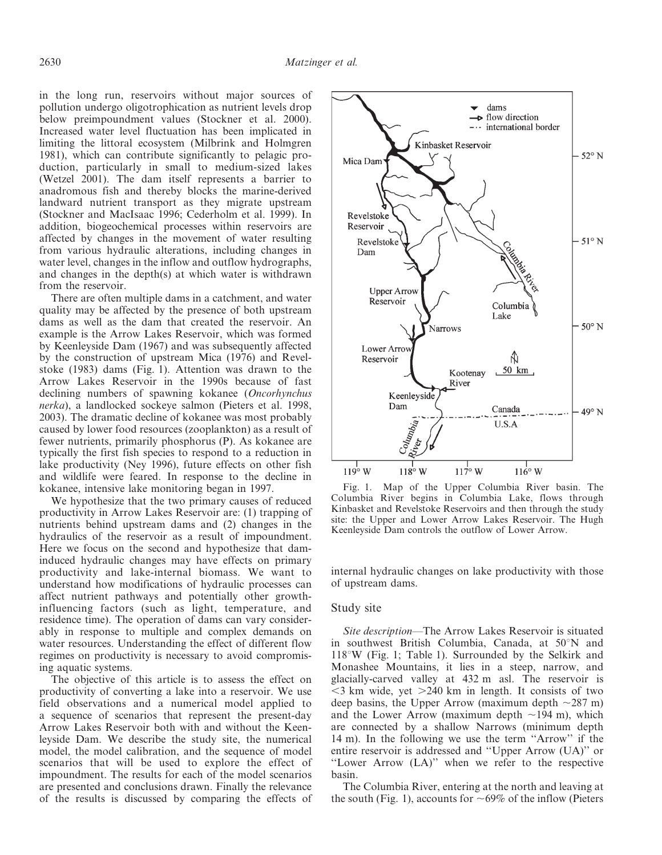in the long run, reservoirs without major sources of pollution undergo oligotrophication as nutrient levels drop below preimpoundment values (Stockner et al. 2000). Increased water level fluctuation has been implicated in limiting the littoral ecosystem (Milbrink and Holmgren 1981), which can contribute significantly to pelagic production, particularly in small to medium-sized lakes (Wetzel 2001). The dam itself represents a barrier to anadromous fish and thereby blocks the marine-derived landward nutrient transport as they migrate upstream (Stockner and MacIsaac 1996; Cederholm et al. 1999). In addition, biogeochemical processes within reservoirs are affected by changes in the movement of water resulting from various hydraulic alterations, including changes in water level, changes in the inflow and outflow hydrographs, and changes in the depth(s) at which water is withdrawn from the reservoir.

There are often multiple dams in a catchment, and water quality may be affected by the presence of both upstream dams as well as the dam that created the reservoir. An example is the Arrow Lakes Reservoir, which was formed by Keenleyside Dam (1967) and was subsequently affected by the construction of upstream Mica (1976) and Revelstoke (1983) dams (Fig. 1). Attention was drawn to the Arrow Lakes Reservoir in the 1990s because of fast declining numbers of spawning kokanee (Oncorhynchus nerka), a landlocked sockeye salmon (Pieters et al. 1998, 2003). The dramatic decline of kokanee was most probably caused by lower food resources (zooplankton) as a result of fewer nutrients, primarily phosphorus (P). As kokanee are typically the first fish species to respond to a reduction in lake productivity (Ney 1996), future effects on other fish and wildlife were feared. In response to the decline in kokanee, intensive lake monitoring began in 1997.

We hypothesize that the two primary causes of reduced productivity in Arrow Lakes Reservoir are: (1) trapping of nutrients behind upstream dams and (2) changes in the hydraulics of the reservoir as a result of impoundment. Here we focus on the second and hypothesize that daminduced hydraulic changes may have effects on primary productivity and lake-internal biomass. We want to understand how modifications of hydraulic processes can affect nutrient pathways and potentially other growthinfluencing factors (such as light, temperature, and residence time). The operation of dams can vary considerably in response to multiple and complex demands on water resources. Understanding the effect of different flow regimes on productivity is necessary to avoid compromising aquatic systems.

The objective of this article is to assess the effect on productivity of converting a lake into a reservoir. We use field observations and a numerical model applied to a sequence of scenarios that represent the present-day Arrow Lakes Reservoir both with and without the Keenleyside Dam. We describe the study site, the numerical model, the model calibration, and the sequence of model scenarios that will be used to explore the effect of impoundment. The results for each of the model scenarios are presented and conclusions drawn. Finally the relevance of the results is discussed by comparing the effects of



Fig. 1. Map of the Upper Columbia River basin. The Columbia River begins in Columbia Lake, flows through Kinbasket and Revelstoke Reservoirs and then through the study site: the Upper and Lower Arrow Lakes Reservoir. The Hugh Keenleyside Dam controls the outflow of Lower Arrow.

internal hydraulic changes on lake productivity with those of upstream dams.

#### Study site

Site description—The Arrow Lakes Reservoir is situated in southwest British Columbia, Canada, at  $50^{\circ}$ N and  $118^{\circ}W$  (Fig. 1; Table 1). Surrounded by the Selkirk and Monashee Mountains, it lies in a steep, narrow, and glacially-carved valley at 432 m asl. The reservoir is  $\leq$ 3 km wide, yet  $\geq$ 240 km in length. It consists of two deep basins, the Upper Arrow (maximum depth  $\sim$ 287 m) and the Lower Arrow (maximum depth  $\sim$ 194 m), which are connected by a shallow Narrows (minimum depth 14 m). In the following we use the term ''Arrow'' if the entire reservoir is addressed and ''Upper Arrow (UA)'' or ''Lower Arrow (LA)'' when we refer to the respective basin.

The Columbia River, entering at the north and leaving at the south (Fig. 1), accounts for  $\sim 69\%$  of the inflow (Pieters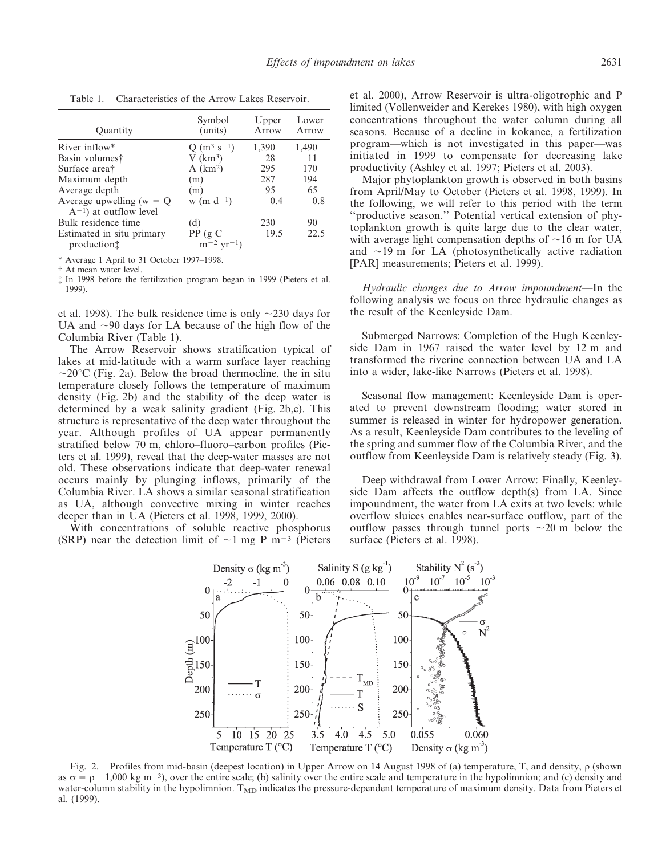| Ouantity                                                   | Symbol<br>(units)                       | Upper<br>Arrow | Lower<br>Arrow |
|------------------------------------------------------------|-----------------------------------------|----------------|----------------|
| River inflow*                                              | Q $(m^3 s^{-1})$                        | 1,390          | 1,490          |
| Basin volumest                                             | $V$ (km <sup>3</sup> )                  | 28             | 11             |
| Surface area†                                              | $A$ (km <sup>2</sup> )                  | 295            | 170            |
| Maximum depth                                              | (m)                                     | 287            | 194            |
| Average depth                                              | (m)                                     | 95             | 65             |
| Average upwelling ( $w = Q$<br>$A^{-1}$ ) at outflow level | $w$ (m $d^{-1}$ )                       | 0.4            | 0.8            |
| Bulk residence time                                        | (d)                                     | 230            | 90             |
| Estimated in situ primary<br>production                    | PP(gC)<br>$\rm m^{-2} \, \rm yr^{-1}$ ) | 19.5           | 22.5           |

Table 1. Characteristics of the Arrow Lakes Reservoir.

\* Average 1 April to 31 October 1997–1998.

{ At mean water level.

{ In 1998 before the fertilization program began in 1999 (Pieters et al. 1999).

et al. 1998). The bulk residence time is only  $\sim$ 230 days for UA and  $\sim$ 90 days for LA because of the high flow of the Columbia River (Table 1).

The Arrow Reservoir shows stratification typical of lakes at mid-latitude with a warm surface layer reaching  $\sim$ 20 $\degree$ C (Fig. 2a). Below the broad thermocline, the in situ temperature closely follows the temperature of maximum density (Fig. 2b) and the stability of the deep water is determined by a weak salinity gradient (Fig. 2b,c). This structure is representative of the deep water throughout the year. Although profiles of UA appear permanently stratified below 70 m, chloro–fluoro–carbon profiles (Pieters et al. 1999), reveal that the deep-water masses are not old. These observations indicate that deep-water renewal occurs mainly by plunging inflows, primarily of the Columbia River. LA shows a similar seasonal stratification as UA, although convective mixing in winter reaches deeper than in UA (Pieters et al. 1998, 1999, 2000).

With concentrations of soluble reactive phosphorus (SRP) near the detection limit of  $\sim$ 1 mg P m<sup>-3</sup> (Pieters

et al. 2000), Arrow Reservoir is ultra-oligotrophic and P limited (Vollenweider and Kerekes 1980), with high oxygen concentrations throughout the water column during all seasons. Because of a decline in kokanee, a fertilization program—which is not investigated in this paper—was initiated in 1999 to compensate for decreasing lake productivity (Ashley et al. 1997; Pieters et al. 2003).

Major phytoplankton growth is observed in both basins from April/May to October (Pieters et al. 1998, 1999). In the following, we will refer to this period with the term ''productive season.'' Potential vertical extension of phytoplankton growth is quite large due to the clear water, with average light compensation depths of  $\sim$ 16 m for UA and  $\sim$ 19 m for LA (photosynthetically active radiation [PAR] measurements; Pieters et al. 1999).

Hydraulic changes due to Arrow impoundment—In the following analysis we focus on three hydraulic changes as the result of the Keenleyside Dam.

Submerged Narrows: Completion of the Hugh Keenleyside Dam in 1967 raised the water level by 12 m and transformed the riverine connection between UA and LA into a wider, lake-like Narrows (Pieters et al. 1998).

Seasonal flow management: Keenleyside Dam is operated to prevent downstream flooding; water stored in summer is released in winter for hydropower generation. As a result, Keenleyside Dam contributes to the leveling of the spring and summer flow of the Columbia River, and the outflow from Keenleyside Dam is relatively steady (Fig. 3).

Deep withdrawal from Lower Arrow: Finally, Keenleyside Dam affects the outflow depth(s) from LA. Since impoundment, the water from LA exits at two levels: while overflow sluices enables near-surface outflow, part of the outflow passes through tunnel ports  $\sim$ 20 m below the surface (Pieters et al. 1998).



Fig. 2. Profiles from mid-basin (deepest location) in Upper Arrow on 14 August 1998 of (a) temperature, T, and density,  $\rho$  (shown as  $\sigma = \rho - 1,000$  kg m<sup>-3</sup>), over the entire scale; (b) salinity over the entire scale and temperature in the hypolimnion; and (c) density and water-column stability in the hypolimnion.  $T_{MD}$  indicates the pressure-dependent temperature of maximum density. Data from Pieters et al. (1999).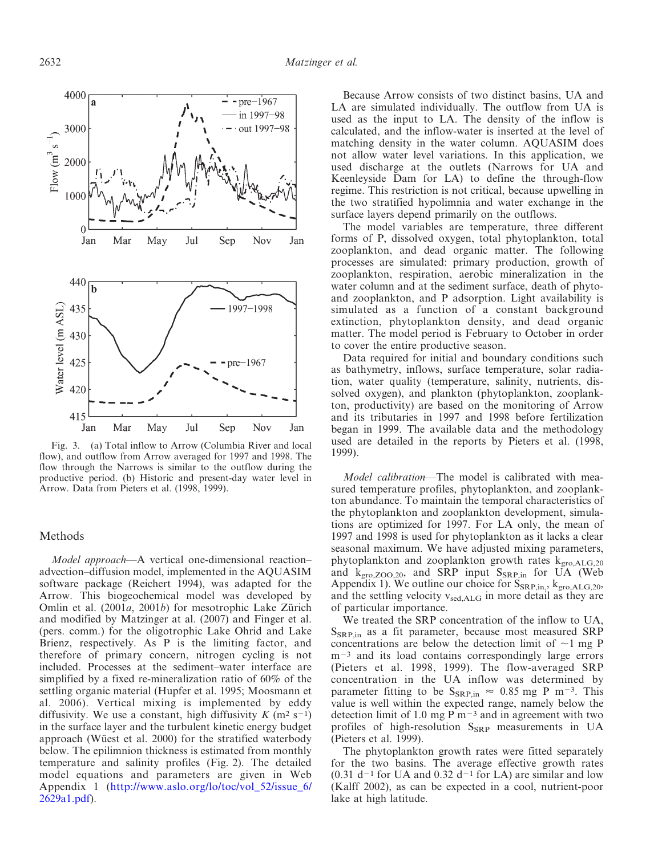

Fig. 3. (a) Total inflow to Arrow (Columbia River and local flow), and outflow from Arrow averaged for 1997 and 1998. The flow through the Narrows is similar to the outflow during the productive period. (b) Historic and present-day water level in Arrow. Data from Pieters et al. (1998, 1999).

#### Methods

Model approach—A vertical one-dimensional reaction– advection–diffusion model, implemented in the AQUASIM software package (Reichert 1994), was adapted for the Arrow. This biogeochemical model was developed by Omlin et al.  $(2001a, 2001b)$  for mesotrophic Lake Zürich and modified by Matzinger at al. (2007) and Finger et al. (pers. comm.) for the oligotrophic Lake Ohrid and Lake Brienz, respectively. As P is the limiting factor, and therefore of primary concern, nitrogen cycling is not included. Processes at the sediment–water interface are simplified by a fixed re-mineralization ratio of 60% of the settling organic material (Hupfer et al. 1995; Moosmann et al. 2006). Vertical mixing is implemented by eddy diffusivity. We use a constant, high diffusivity  $K$  (m<sup>2</sup> s<sup>-1</sup>) in the surface layer and the turbulent kinetic energy budget approach (Wüest et al. 2000) for the stratified waterbody below. The epilimnion thickness is estimated from monthly temperature and salinity profiles (Fig. 2). The detailed model equations and parameters are given in Web [Appendix 1 \(http://www.aslo.org/lo/toc/vol\\_52/issue\\_6/](http://www.aslo.org/lo/toc/vol_52/issue_6/2629a1.pdf) 2629a1.pdf).

Because Arrow consists of two distinct basins, UA and LA are simulated individually. The outflow from UA is used as the input to LA. The density of the inflow is calculated, and the inflow-water is inserted at the level of matching density in the water column. AQUASIM does not allow water level variations. In this application, we used discharge at the outlets (Narrows for UA and Keenleyside Dam for LA) to define the through-flow regime. This restriction is not critical, because upwelling in the two stratified hypolimnia and water exchange in the surface layers depend primarily on the outflows.

The model variables are temperature, three different forms of P, dissolved oxygen, total phytoplankton, total zooplankton, and dead organic matter. The following processes are simulated: primary production, growth of zooplankton, respiration, aerobic mineralization in the water column and at the sediment surface, death of phytoand zooplankton, and P adsorption. Light availability is simulated as a function of a constant background extinction, phytoplankton density, and dead organic matter. The model period is February to October in order to cover the entire productive season.

Data required for initial and boundary conditions such as bathymetry, inflows, surface temperature, solar radiation, water quality (temperature, salinity, nutrients, dissolved oxygen), and plankton (phytoplankton, zooplankton, productivity) are based on the monitoring of Arrow and its tributaries in 1997 and 1998 before fertilization began in 1999. The available data and the methodology used are detailed in the reports by Pieters et al. (1998, 1999).

Model calibration—The model is calibrated with measured temperature profiles, phytoplankton, and zooplankton abundance. To maintain the temporal characteristics of the phytoplankton and zooplankton development, simulations are optimized for 1997. For LA only, the mean of 1997 and 1998 is used for phytoplankton as it lacks a clear seasonal maximum. We have adjusted mixing parameters, phytoplankton and zooplankton growth rates kgro,ALG,20 and  $k_{\text{gro},\text{ZOO},20}$ , and SRP input  $S_{\text{SRP,in}}$  for UA [\(Web](http://www.aslo.org/lo/toc/vol_52/issue_6/2629a1.pdf) [Appendix 1\)](http://www.aslo.org/lo/toc/vol_52/issue_6/2629a1.pdf). We outline our choice for  $S_{SRP,in}$ ,  $k_{gro,ALG,20}$ , and the settling velocity  $v_{\text{sed,ALG}}$  in more detail as they are of particular importance.

We treated the SRP concentration of the inflow to UA, SSRP,in as a fit parameter, because most measured SRP concentrations are below the detection limit of  $\sim$ 1 mg P  $m<sup>-3</sup>$  and its load contains correspondingly large errors (Pieters et al. 1998, 1999). The flow-averaged SRP concentration in the UA inflow was determined by parameter fitting to be  $S_{SRP,in} \approx 0.85$  mg P m<sup>-3</sup>. This value is well within the expected range, namely below the detection limit of 1.0 mg P  $\rm m^{-3}$  and in agreement with two profiles of high-resolution  $S_{SRP}$  measurements in UA (Pieters et al. 1999).

The phytoplankton growth rates were fitted separately for the two basins. The average effective growth rates  $(0.31$  d<sup>-1</sup> for UA and 0.32 d<sup>-1</sup> for LA) are similar and low (Kalff 2002), as can be expected in a cool, nutrient-poor lake at high latitude.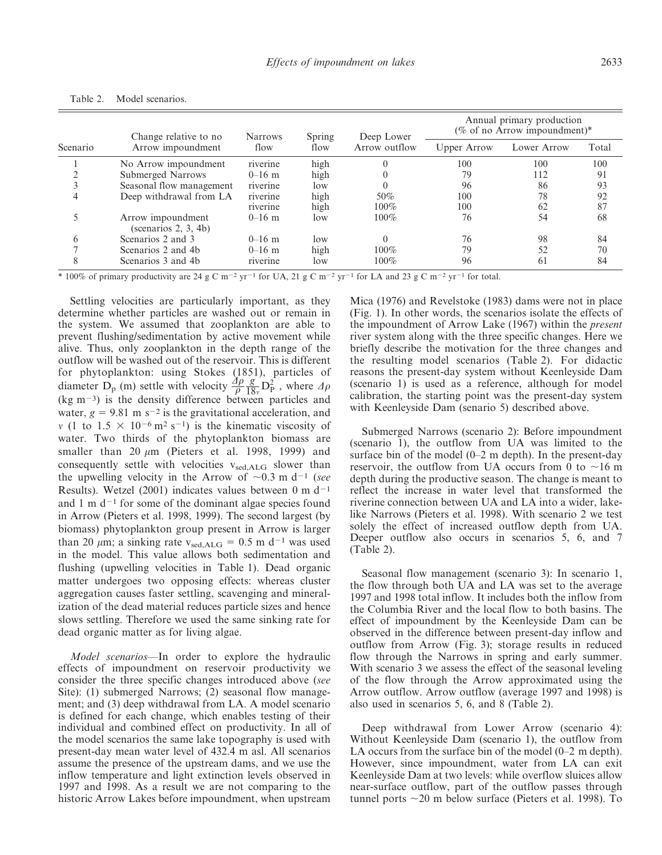| Scenario | Change relative to no<br>Arrow impoundment   | <b>Narrows</b><br>flow | Spring | Deep Lower<br>Arrow outflow | Annual primary production<br>(% of no Arrow impoundment)* |             |       |
|----------|----------------------------------------------|------------------------|--------|-----------------------------|-----------------------------------------------------------|-------------|-------|
|          |                                              |                        | flow   |                             | Upper Arrow                                               | Lower Arrow | Total |
|          | No Arrow impoundment                         | riverine               | high   |                             | 100                                                       | 100         | 100   |
|          | Submerged Narrows                            | $0-16$ m               | high   |                             | 79                                                        | 112         | 91    |
|          | Seasonal flow management                     | riverine               | low    |                             | 96                                                        | 86          | 93    |
|          | Deep withdrawal from LA                      | riverine               | high   | $50\%$                      | 100                                                       | 78          | 92    |
|          |                                              | riverine               | high   | $100\%$                     | 100                                                       | 62          | 87    |
|          | Arrow impoundment<br>(scenarios $2, 3, 4b$ ) | $0-16$ m               | low    | $100\%$                     | 76                                                        | 54          | 68    |
| h        | Scenarios 2 and 3                            | $0-16$ m               | low    |                             | 76                                                        | 98          | 84    |
|          | Scenarios 2 and 4b                           | $0-16$ m               | high   | $100\%$                     | 79                                                        | 52          | 70    |
| 8        | Scenarios 3 and 4b                           | riverine               | low    | $100\%$                     | 96                                                        | 61          | 84    |

Table 2. Model scenarios.

\* 100% of primary productivity are 24 g C m<sup>-2</sup> yr<sup>-1</sup> for UA, 21 g C m<sup>-2</sup> yr<sup>-1</sup> for LA and 23 g C m<sup>-2</sup> yr<sup>-1</sup> for total.

Settling velocities are particularly important, as they determine whether particles are washed out or remain in the system. We assumed that zooplankton are able to prevent flushing/sedimentation by active movement while alive. Thus, only zooplankton in the depth range of the outflow will be washed out of the reservoir. This is different for phytoplankton: using Stokes (1851), particles of diameter  $D_p$  (m) settle with velocity  $\frac{\partial \rho}{\rho}$  $rac{g}{18_v}D_P^2$ , where  $\Delta \rho$  $(kg m<sup>-3</sup>)$  is the density difference between particles and water,  $g = 9.81$  m s<sup>-2</sup> is the gravitational acceleration, and v (1 to  $1.5 \times 10^{-6}$  m<sup>2</sup> s<sup>-1</sup>) is the kinematic viscosity of water. Two thirds of the phytoplankton biomass are smaller than 20  $\mu$ m (Pieters et al. 1998, 1999) and consequently settle with velocities  $v_{\text{sed,ALG}}$  slower than the upwelling velocity in the Arrow of  $\sim 0.3$  m d<sup>-1</sup> (see Results). Wetzel (2001) indicates values between 0 m  $d^{-1}$ and 1 m  $d^{-1}$  for some of the dominant algae species found in Arrow (Pieters et al. 1998, 1999). The second largest (by biomass) phytoplankton group present in Arrow is larger than 20  $\mu$ m; a sinking rate v<sub>sed,ALG</sub> = 0.5 m d<sup>-1</sup> was used in the model. This value allows both sedimentation and flushing (upwelling velocities in Table 1). Dead organic matter undergoes two opposing effects: whereas cluster aggregation causes faster settling, scavenging and mineralization of the dead material reduces particle sizes and hence slows settling. Therefore we used the same sinking rate for dead organic matter as for living algae.

Model scenarios—In order to explore the hydraulic effects of impoundment on reservoir productivity we consider the three specific changes introduced above (see Site): (1) submerged Narrows; (2) seasonal flow management; and (3) deep withdrawal from LA. A model scenario is defined for each change, which enables testing of their individual and combined effect on productivity. In all of the model scenarios the same lake topography is used with present-day mean water level of 432.4 m asl. All scenarios assume the presence of the upstream dams, and we use the inflow temperature and light extinction levels observed in 1997 and 1998. As a result we are not comparing to the historic Arrow Lakes before impoundment, when upstream

Mica (1976) and Revelstoke (1983) dams were not in place (Fig. 1). In other words, the scenarios isolate the effects of the impoundment of Arrow Lake (1967) within the present river system along with the three specific changes. Here we briefly describe the motivation for the three changes and the resulting model scenarios (Table 2). For didactic reasons the present-day system without Keenleyside Dam (scenario 1) is used as a reference, although for model calibration, the starting point was the present-day system with Keenleyside Dam (senario 5) described above.

Submerged Narrows (scenario 2): Before impoundment (scenario 1), the outflow from UA was limited to the surface bin of the model (0–2 m depth). In the present-day reservoir, the outflow from UA occurs from 0 to  $\sim$ 16 m depth during the productive season. The change is meant to reflect the increase in water level that transformed the riverine connection between UA and LA into a wider, lakelike Narrows (Pieters et al. 1998). With scenario 2 we test solely the effect of increased outflow depth from UA. Deeper outflow also occurs in scenarios 5, 6, and 7 (Table 2).

Seasonal flow management (scenario 3): In scenario 1, the flow through both UA and LA was set to the average 1997 and 1998 total inflow. It includes both the inflow from the Columbia River and the local flow to both basins. The effect of impoundment by the Keenleyside Dam can be observed in the difference between present-day inflow and outflow from Arrow (Fig. 3); storage results in reduced flow through the Narrows in spring and early summer. With scenario 3 we assess the effect of the seasonal leveling of the flow through the Arrow approximated using the Arrow outflow. Arrow outflow (average 1997 and 1998) is also used in scenarios 5, 6, and 8 (Table 2).

Deep withdrawal from Lower Arrow (scenario 4): Without Keenleyside Dam (scenario 1), the outflow from LA occurs from the surface bin of the model (0–2 m depth). However, since impoundment, water from LA can exit Keenleyside Dam at two levels: while overflow sluices allow near-surface outflow, part of the outflow passes through tunnel ports  $\sim$ 20 m below surface (Pieters et al. 1998). To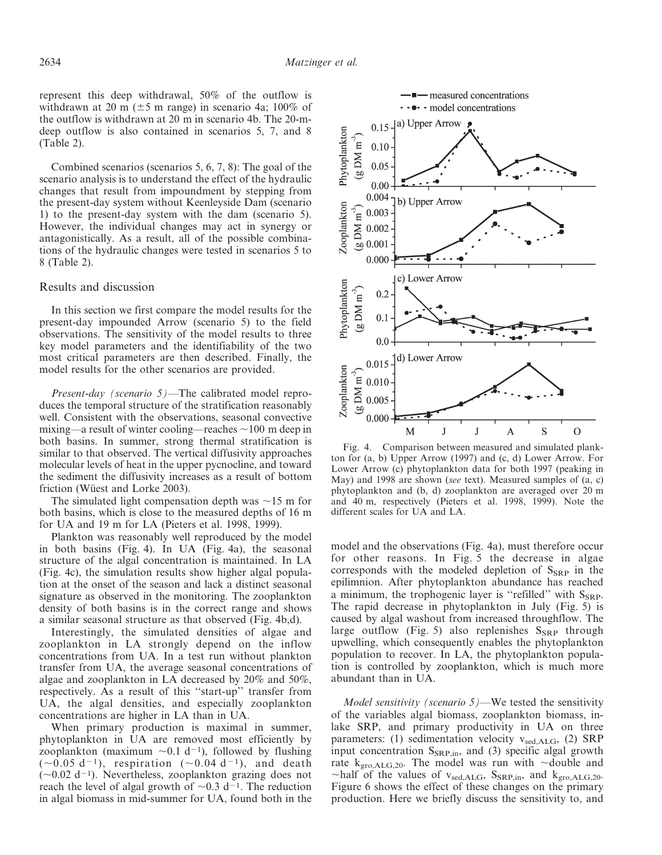represent this deep withdrawal, 50% of the outflow is withdrawn at 20 m ( $\pm$ 5 m range) in scenario 4a; 100% of the outflow is withdrawn at 20 m in scenario 4b. The 20-mdeep outflow is also contained in scenarios 5, 7, and 8 (Table 2).

Combined scenarios (scenarios 5, 6, 7, 8): The goal of the scenario analysis is to understand the effect of the hydraulic changes that result from impoundment by stepping from the present-day system without Keenleyside Dam (scenario 1) to the present-day system with the dam (scenario 5). However, the individual changes may act in synergy or antagonistically. As a result, all of the possible combinations of the hydraulic changes were tested in scenarios 5 to 8 (Table 2).

#### Results and discussion

In this section we first compare the model results for the present-day impounded Arrow (scenario 5) to the field observations. The sensitivity of the model results to three key model parameters and the identifiability of the two most critical parameters are then described. Finally, the model results for the other scenarios are provided.

Present-day (scenario 5)—The calibrated model reproduces the temporal structure of the stratification reasonably well. Consistent with the observations, seasonal convective mixing—a result of winter cooling—reaches  $\sim$ 100 m deep in both basins. In summer, strong thermal stratification is similar to that observed. The vertical diffusivity approaches molecular levels of heat in the upper pycnocline, and toward the sediment the diffusivity increases as a result of bottom friction (Wüest and Lorke 2003).

The simulated light compensation depth was  $\sim$ 15 m for both basins, which is close to the measured depths of 16 m for UA and 19 m for LA (Pieters et al. 1998, 1999).

Plankton was reasonably well reproduced by the model in both basins (Fig. 4). In UA (Fig. 4a), the seasonal structure of the algal concentration is maintained. In LA (Fig. 4c), the simulation results show higher algal population at the onset of the season and lack a distinct seasonal signature as observed in the monitoring. The zooplankton density of both basins is in the correct range and shows a similar seasonal structure as that observed (Fig. 4b,d).

Interestingly, the simulated densities of algae and zooplankton in LA strongly depend on the inflow concentrations from UA. In a test run without plankton transfer from UA, the average seasonal concentrations of algae and zooplankton in LA decreased by 20% and 50%, respectively. As a result of this ''start-up'' transfer from UA, the algal densities, and especially zooplankton concentrations are higher in LA than in UA.

When primary production is maximal in summer, phytoplankton in UA are removed most efficiently by zooplankton (maximum  $\sim 0.1$  d<sup>-1</sup>), followed by flushing  $(\sim 0.05$  d<sup>-1</sup>), respiration  $(\sim 0.04$  d<sup>-1</sup>), and death  $(\sim 0.02$  d<sup>-1</sup>). Nevertheless, zooplankton grazing does not reach the level of algal growth of  $\sim 0.3$  d<sup>-1</sup>. The reduction in algal biomass in mid-summer for UA, found both in the



-  $\blacksquare$  measured concentrations ••••• model concentrations

ton for (a, b) Upper Arrow (1997) and (c, d) Lower Arrow. For Lower Arrow (c) phytoplankton data for both 1997 (peaking in May) and 1998 are shown (see text). Measured samples of (a, c) phytoplankton and (b, d) zooplankton are averaged over 20 m and 40 m, respectively (Pieters et al. 1998, 1999). Note the different scales for UA and LA.

model and the observations (Fig. 4a), must therefore occur for other reasons. In Fig. 5 the decrease in algae corresponds with the modeled depletion of  $S_{SRP}$  in the epilimnion. After phytoplankton abundance has reached a minimum, the trophogenic layer is "refilled" with  $S_{\rm SRP}$ . The rapid decrease in phytoplankton in July (Fig. 5) is caused by algal washout from increased throughflow. The large outflow (Fig. 5) also replenishes  $S_{SRP}$  through upwelling, which consequently enables the phytoplankton population to recover. In LA, the phytoplankton population is controlled by zooplankton, which is much more abundant than in UA.

*Model sensitivity (scenario 5)*—We tested the sensitivity of the variables algal biomass, zooplankton biomass, inlake SRP, and primary productivity in UA on three parameters: (1) sedimentation velocity vsed,ALG, (2) SRP input concentration  $S_{SRP,in}$ , and (3) specific algal growth rate  $k_{\text{gro},\text{ALG},20}$ . The model was run with  $\sim$ double and ~half of the values of  $v_{sed,ALG}$ , S<sub>SRP,in</sub>, and k<sub>gro,ALG,20</sub>. Figure 6 shows the effect of these changes on the primary production. Here we briefly discuss the sensitivity to, and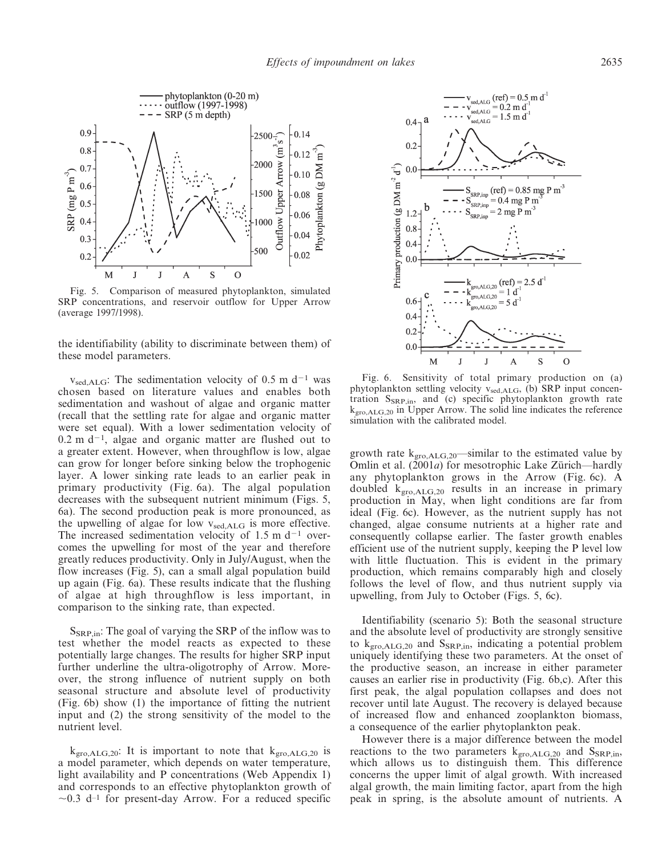

Fig. 5. Comparison of measured phytoplankton, simulated SRP concentrations, and reservoir outflow for Upper Arrow (average 1997/1998).

the identifiability (ability to discriminate between them) of these model parameters.

 $v_{\rm sed,ALG}$ : The sedimentation velocity of 0.5 m d<sup>-1</sup> was chosen based on literature values and enables both sedimentation and washout of algae and organic matter (recall that the settling rate for algae and organic matter were set equal). With a lower sedimentation velocity of  $0.2$  m d<sup>-1</sup>, algae and organic matter are flushed out to a greater extent. However, when throughflow is low, algae can grow for longer before sinking below the trophogenic layer. A lower sinking rate leads to an earlier peak in primary productivity (Fig. 6a). The algal population decreases with the subsequent nutrient minimum (Figs. 5, 6a). The second production peak is more pronounced, as the upwelling of algae for low  $v_{\text{sed,ALG}}$  is more effective. The increased sedimentation velocity of 1.5 m  $d^{-1}$  overcomes the upwelling for most of the year and therefore greatly reduces productivity. Only in July/August, when the flow increases (Fig. 5), can a small algal population build up again (Fig. 6a). These results indicate that the flushing of algae at high throughflow is less important, in comparison to the sinking rate, than expected.

 $S_{\rm SRP,in}$ : The goal of varying the SRP of the inflow was to test whether the model reacts as expected to these potentially large changes. The results for higher SRP input further underline the ultra-oligotrophy of Arrow. Moreover, the strong influence of nutrient supply on both seasonal structure and absolute level of productivity (Fig. 6b) show (1) the importance of fitting the nutrient input and (2) the strong sensitivity of the model to the nutrient level.

 $k_{\text{gro},\text{ALG},20}$ : It is important to note that  $k_{\text{gro},\text{ALG},20}$  is a model parameter, which depends on water temperature, light availability and P concentrations [\(Web Appendix 1\)](http://www.aslo.org/lo/toc/vol_52/issue_6/2629a1.pdf) and corresponds to an effective phytoplankton growth of  $\sim$ 0.3 d<sup>-1</sup> for present-day Arrow. For a reduced specific



Fig. 6. Sensitivity of total primary production on (a) phytoplankton settling velocity  $v_{sed,ALG}$ , (b) SRP input concentration  $S_{SRP,in}$ , and (c) specific phytoplankton growth rate  $k_{\text{gro},\text{ALG},20}$  in Upper Arrow. The solid line indicates the reference simulation with the calibrated model.

growth rate  $k_{\text{gro},\text{ALG},20}$ —similar to the estimated value by Omlin et al.  $(2001a)$  for mesotrophic Lake Zürich—hardly any phytoplankton grows in the Arrow (Fig. 6c). A doubled  $k_{\text{gro},\text{ALG},20}$  results in an increase in primary production in May, when light conditions are far from ideal (Fig. 6c). However, as the nutrient supply has not changed, algae consume nutrients at a higher rate and consequently collapse earlier. The faster growth enables efficient use of the nutrient supply, keeping the P level low with little fluctuation. This is evident in the primary production, which remains comparably high and closely follows the level of flow, and thus nutrient supply via upwelling, from July to October (Figs. 5, 6c).

Identifiability (scenario 5): Both the seasonal structure and the absolute level of productivity are strongly sensitive to  $k_{\text{gro},\text{ALG},20}$  and  $S_{\text{SRP,in}}$ , indicating a potential problem uniquely identifying these two parameters. At the onset of the productive season, an increase in either parameter causes an earlier rise in productivity (Fig. 6b,c). After this first peak, the algal population collapses and does not recover until late August. The recovery is delayed because of increased flow and enhanced zooplankton biomass, a consequence of the earlier phytoplankton peak.

However there is a major difference between the model reactions to the two parameters  $k_{\text{gro},\text{ALG},20}$  and  $S_{\text{SRP,in}}$ , which allows us to distinguish them. This difference concerns the upper limit of algal growth. With increased algal growth, the main limiting factor, apart from the high peak in spring, is the absolute amount of nutrients. A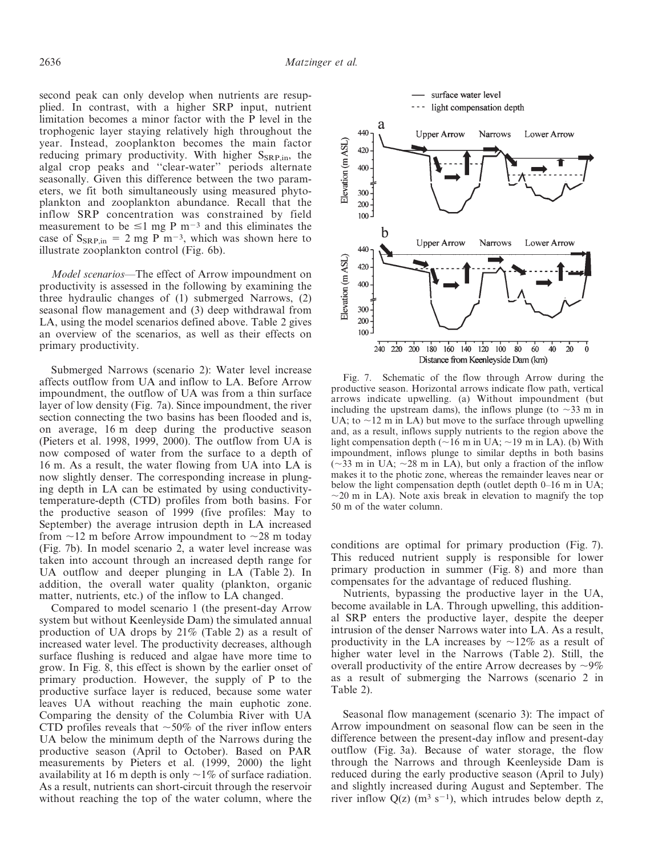second peak can only develop when nutrients are resupplied. In contrast, with a higher SRP input, nutrient limitation becomes a minor factor with the P level in the trophogenic layer staying relatively high throughout the year. Instead, zooplankton becomes the main factor reducing primary productivity. With higher  $S_{\rm SRP,in}$ , the algal crop peaks and ''clear-water'' periods alternate seasonally. Given this difference between the two parameters, we fit both simultaneously using measured phytoplankton and zooplankton abundance. Recall that the inflow SRP concentration was constrained by field measurement to be  $\leq 1$  mg P m<sup>-3</sup> and this eliminates the case of  $S_{SRP,in} = 2$  mg P m<sup>-3</sup>, which was shown here to illustrate zooplankton control (Fig. 6b).

Model scenarios—The effect of Arrow impoundment on productivity is assessed in the following by examining the three hydraulic changes of (1) submerged Narrows, (2) seasonal flow management and (3) deep withdrawal from LA, using the model scenarios defined above. Table 2 gives an overview of the scenarios, as well as their effects on primary productivity.

Submerged Narrows (scenario 2): Water level increase affects outflow from UA and inflow to LA. Before Arrow impoundment, the outflow of UA was from a thin surface layer of low density (Fig. 7a). Since impoundment, the river section connecting the two basins has been flooded and is, on average, 16 m deep during the productive season (Pieters et al. 1998, 1999, 2000). The outflow from UA is now composed of water from the surface to a depth of 16 m. As a result, the water flowing from UA into LA is now slightly denser. The corresponding increase in plunging depth in LA can be estimated by using conductivitytemperature-depth (CTD) profiles from both basins. For the productive season of 1999 (five profiles: May to September) the average intrusion depth in LA increased from  $\sim$ 12 m before Arrow impoundment to  $\sim$ 28 m today (Fig. 7b). In model scenario 2, a water level increase was taken into account through an increased depth range for UA outflow and deeper plunging in LA (Table 2). In addition, the overall water quality (plankton, organic matter, nutrients, etc.) of the inflow to LA changed.

Compared to model scenario 1 (the present-day Arrow system but without Keenleyside Dam) the simulated annual production of UA drops by 21% (Table 2) as a result of increased water level. The productivity decreases, although surface flushing is reduced and algae have more time to grow. In Fig. 8, this effect is shown by the earlier onset of primary production. However, the supply of P to the productive surface layer is reduced, because some water leaves UA without reaching the main euphotic zone. Comparing the density of the Columbia River with UA CTD profiles reveals that  $\sim$  50% of the river inflow enters UA below the minimum depth of the Narrows during the productive season (April to October). Based on PAR measurements by Pieters et al. (1999, 2000) the light availability at 16 m depth is only  $\sim$ 1% of surface radiation. As a result, nutrients can short-circuit through the reservoir without reaching the top of the water column, where the



Fig. 7. Schematic of the flow through Arrow during the productive season. Horizontal arrows indicate flow path, vertical arrows indicate upwelling. (a) Without impoundment (but including the upstream dams), the inflows plunge (to  $\sim$ 33 m in UA; to  $\sim$ 12 m in LA) but move to the surface through upwelling and, as a result, inflows supply nutrients to the region above the light compensation depth ( $\sim$ 16 m in UA;  $\sim$ 19 m in LA). (b) With impoundment, inflows plunge to similar depths in both basins  $(\sim$ 33 m in UA;  $\sim$ 28 m in LA), but only a fraction of the inflow makes it to the photic zone, whereas the remainder leaves near or below the light compensation depth (outlet depth 0–16 m in UA;  $\sim$ 20 m in LA). Note axis break in elevation to magnify the top 50 m of the water column.

conditions are optimal for primary production (Fig. 7). This reduced nutrient supply is responsible for lower primary production in summer (Fig. 8) and more than compensates for the advantage of reduced flushing.

Nutrients, bypassing the productive layer in the UA, become available in LA. Through upwelling, this additional SRP enters the productive layer, despite the deeper intrusion of the denser Narrows water into LA. As a result, productivity in the LA increases by  $\sim$ 12% as a result of higher water level in the Narrows (Table 2). Still, the overall productivity of the entire Arrow decreases by  $\sim 9\%$ as a result of submerging the Narrows (scenario 2 in Table 2).

Seasonal flow management (scenario 3): The impact of Arrow impoundment on seasonal flow can be seen in the difference between the present-day inflow and present-day outflow (Fig. 3a). Because of water storage, the flow through the Narrows and through Keenleyside Dam is reduced during the early productive season (April to July) and slightly increased during August and September. The river inflow  $Q(z)$  (m<sup>3</sup> s<sup>-1</sup>), which intrudes below depth z,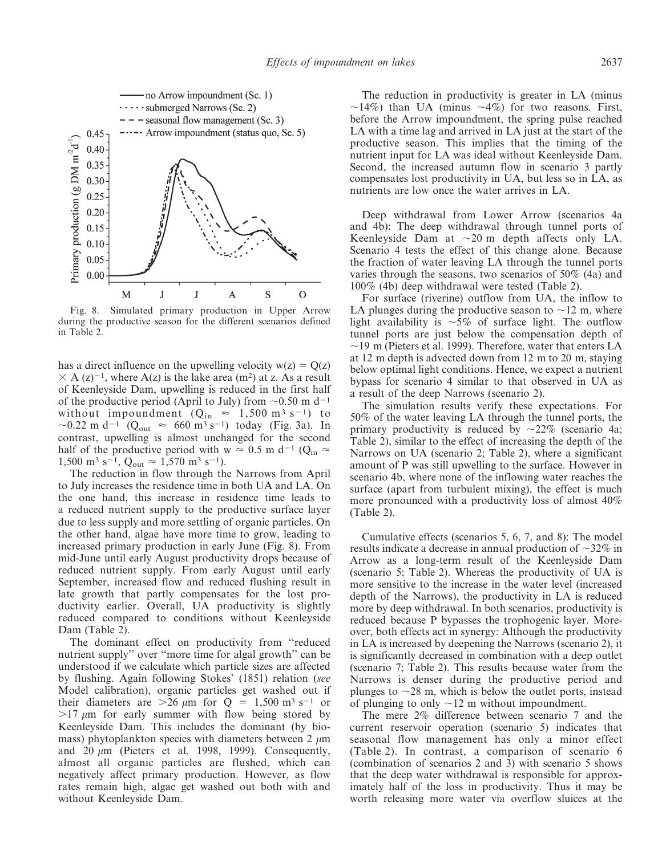

Fig. 8. Simulated primary production in Upper Arrow during the productive season for the different scenarios defined in Table 2.

has a direct influence on the upwelling velocity  $w(z) = Q(z)$  $\times$  A (z)<sup>-1</sup>, where A(z) is the lake area (m<sup>2</sup>) at z. As a result of Keenleyside Dam, upwelling is reduced in the first half of the productive period (April to July) from  $\sim 0.50$  m d<sup>-1</sup> without impoundment  $(Q_{in} \approx 1,500 \text{ m}^3 \text{ s}^{-1})$  to ~0.22 m d<sup>-1</sup> (Q<sub>out</sub>  $\approx$  660 m<sup>3</sup> s<sup>-1</sup>) today (Fig. 3a). In contrast, upwelling is almost unchanged for the second half of the productive period with w  $\approx$  0.5 m d<sup>-1</sup> (Q<sub>in</sub>  $\approx$ 1,500 m<sup>3</sup> s<sup>-1</sup>, Q<sub>out</sub>  $\approx$  1,570 m<sup>3</sup> s<sup>-1</sup>).

The reduction in flow through the Narrows from April to July increases the residence time in both UA and LA. On the one hand, this increase in residence time leads to a reduced nutrient supply to the productive surface layer due to less supply and more settling of organic particles. On the other hand, algae have more time to grow, leading to increased primary production in early June (Fig. 8). From mid-June until early August productivity drops because of reduced nutrient supply. From early August until early September, increased flow and reduced flushing result in late growth that partly compensates for the lost productivity earlier. Overall, UA productivity is slightly reduced compared to conditions without Keenleyside Dam (Table 2).

The dominant effect on productivity from ''reduced nutrient supply'' over ''more time for algal growth'' can be understood if we calculate which particle sizes are affected by flushing. Again following Stokes' (1851) relation (see Model calibration), organic particles get washed out if their diameters are  $>26 \mu m$  for  $Q = 1,500 \text{ m}^3 \text{ s}^{-1}$  or  $>17 \mu m$  for early summer with flow being stored by Keenleyside Dam. This includes the dominant (by biomass) phytoplankton species with diameters between 2  $\mu$ m and 20  $\mu$ m (Pieters et al. 1998, 1999). Consequently, almost all organic particles are flushed, which can negatively affect primary production. However, as flow rates remain high, algae get washed out both with and without Keenleyside Dam.

The reduction in productivity is greater in LA (minus  $\sim$ 14%) than UA (minus  $\sim$ 4%) for two reasons. First, before the Arrow impoundment, the spring pulse reached LA with a time lag and arrived in LA just at the start of the productive season. This implies that the timing of the nutrient input for LA was ideal without Keenleyside Dam. Second, the increased autumn flow in scenario 3 partly compensates lost productivity in UA, but less so in LA, as nutrients are low once the water arrives in LA.

Deep withdrawal from Lower Arrow (scenarios 4a and 4b): The deep withdrawal through tunnel ports of Keenleyside Dam at  $\sim 20$  m depth affects only LA. Scenario 4 tests the effect of this change alone. Because the fraction of water leaving LA through the tunnel ports varies through the seasons, two scenarios of 50% (4a) and 100% (4b) deep withdrawal were tested (Table 2).

For surface (riverine) outflow from UA, the inflow to LA plunges during the productive season to  $\sim$ 12 m, where light availability is  $\sim 5\%$  of surface light. The outflow tunnel ports are just below the compensation depth of  $\sim$ 19 m (Pieters et al. 1999). Therefore, water that enters LA at 12 m depth is advected down from 12 m to 20 m, staying below optimal light conditions. Hence, we expect a nutrient bypass for scenario 4 similar to that observed in UA as a result of the deep Narrows (scenario 2).

The simulation results verify these expectations. For 50% of the water leaving LA through the tunnel ports, the primary productivity is reduced by  $\sim 22\%$  (scenario 4a; Table 2), similar to the effect of increasing the depth of the Narrows on UA (scenario 2; Table 2), where a significant amount of P was still upwelling to the surface. However in scenario 4b, where none of the inflowing water reaches the surface (apart from turbulent mixing), the effect is much more pronounced with a productivity loss of almost 40% (Table 2).

Cumulative effects (scenarios 5, 6, 7, and 8): The model results indicate a decrease in annual production of  $\sim$ 32% in Arrow as a long-term result of the Keenleyside Dam (scenario 5; Table 2). Whereas the productivity of UA is more sensitive to the increase in the water level (increased depth of the Narrows), the productivity in LA is reduced more by deep withdrawal. In both scenarios, productivity is reduced because P bypasses the trophogenic layer. Moreover, both effects act in synergy: Although the productivity in LA is increased by deepening the Narrows (scenario 2), it is significantly decreased in combination with a deep outlet (scenario 7; Table 2). This results because water from the Narrows is denser during the productive period and plunges to  $\sim$ 28 m, which is below the outlet ports, instead of plunging to only  $\sim$ 12 m without impoundment.

The mere 2% difference between scenario 7 and the current reservoir operation (scenario 5) indicates that seasonal flow management has only a minor effect (Table 2). In contrast, a comparison of scenario 6 (combination of scenarios 2 and 3) with scenario 5 shows that the deep water withdrawal is responsible for approximately half of the loss in productivity. Thus it may be worth releasing more water via overflow sluices at the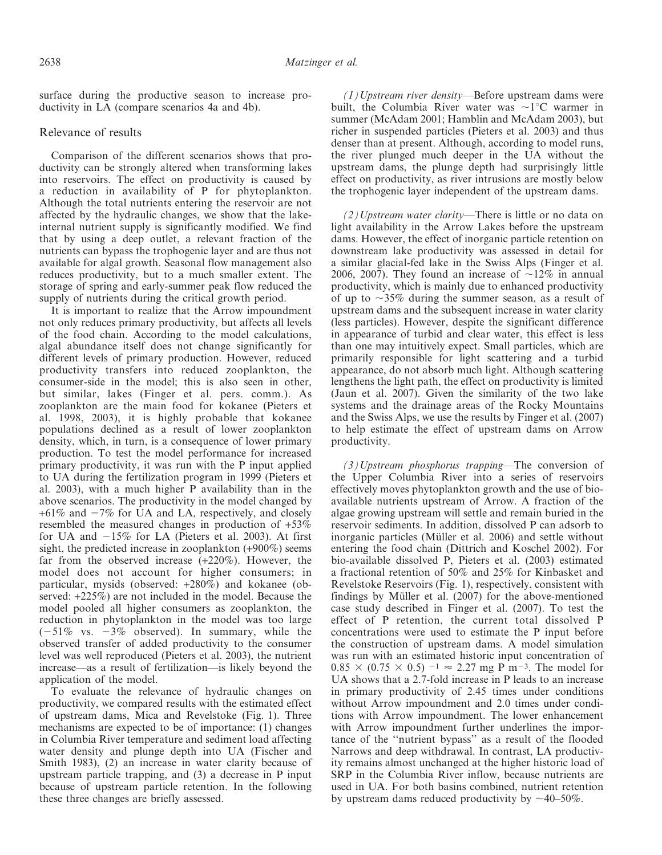surface during the productive season to increase productivity in LA (compare scenarios 4a and 4b).

#### Relevance of results

Comparison of the different scenarios shows that productivity can be strongly altered when transforming lakes into reservoirs. The effect on productivity is caused by a reduction in availability of P for phytoplankton. Although the total nutrients entering the reservoir are not affected by the hydraulic changes, we show that the lakeinternal nutrient supply is significantly modified. We find that by using a deep outlet, a relevant fraction of the nutrients can bypass the trophogenic layer and are thus not available for algal growth. Seasonal flow management also reduces productivity, but to a much smaller extent. The storage of spring and early-summer peak flow reduced the supply of nutrients during the critical growth period.

It is important to realize that the Arrow impoundment not only reduces primary productivity, but affects all levels of the food chain. According to the model calculations, algal abundance itself does not change significantly for different levels of primary production. However, reduced productivity transfers into reduced zooplankton, the consumer-side in the model; this is also seen in other, but similar, lakes (Finger et al. pers. comm.). As zooplankton are the main food for kokanee (Pieters et al. 1998, 2003), it is highly probable that kokanee populations declined as a result of lower zooplankton density, which, in turn, is a consequence of lower primary production. To test the model performance for increased primary productivity, it was run with the P input applied to UA during the fertilization program in 1999 (Pieters et al. 2003), with a much higher P availability than in the above scenarios. The productivity in the model changed by  $+61\%$  and  $-7\%$  for UA and LA, respectively, and closely resembled the measured changes in production of +53% for UA and  $-15\%$  for LA (Pieters et al. 2003). At first sight, the predicted increase in zooplankton (+900%) seems far from the observed increase (+220%). However, the model does not account for higher consumers; in particular, mysids (observed: +280%) and kokanee (observed: +225%) are not included in the model. Because the model pooled all higher consumers as zooplankton, the reduction in phytoplankton in the model was too large  $(-51\% \text{ vs. } -3\% \text{ observed})$ . In summary, while the observed transfer of added productivity to the consumer level was well reproduced (Pieters et al. 2003), the nutrient increase—as a result of fertilization—is likely beyond the application of the model.

To evaluate the relevance of hydraulic changes on productivity, we compared results with the estimated effect of upstream dams, Mica and Revelstoke (Fig. 1). Three mechanisms are expected to be of importance: (1) changes in Columbia River temperature and sediment load affecting water density and plunge depth into UA (Fischer and Smith 1983), (2) an increase in water clarity because of upstream particle trapping, and (3) a decrease in P input because of upstream particle retention. In the following these three changes are briefly assessed.

 $(1)$ Upstream river density—Before upstream dams were built, the Columbia River water was  $\sim1^{\circ}$ C warmer in summer (McAdam 2001; Hamblin and McAdam 2003), but richer in suspended particles (Pieters et al. 2003) and thus denser than at present. Although, according to model runs, the river plunged much deeper in the UA without the upstream dams, the plunge depth had surprisingly little effect on productivity, as river intrusions are mostly below the trophogenic layer independent of the upstream dams.

 $(2)$ Upstream water clarity-There is little or no data on light availability in the Arrow Lakes before the upstream dams. However, the effect of inorganic particle retention on downstream lake productivity was assessed in detail for a similar glacial-fed lake in the Swiss Alps (Finger et al. 2006, 2007). They found an increase of  $\sim$ 12% in annual productivity, which is mainly due to enhanced productivity of up to  $\sim$ 35% during the summer season, as a result of upstream dams and the subsequent increase in water clarity (less particles). However, despite the significant difference in appearance of turbid and clear water, this effect is less than one may intuitively expect. Small particles, which are primarily responsible for light scattering and a turbid appearance, do not absorb much light. Although scattering lengthens the light path, the effect on productivity is limited (Jaun et al. 2007). Given the similarity of the two lake systems and the drainage areas of the Rocky Mountains and the Swiss Alps, we use the results by Finger et al. (2007) to help estimate the effect of upstream dams on Arrow productivity.

 $(3)$ Upstream phosphorus trapping—The conversion of the Upper Columbia River into a series of reservoirs effectively moves phytoplankton growth and the use of bioavailable nutrients upstream of Arrow. A fraction of the algae growing upstream will settle and remain buried in the reservoir sediments. In addition, dissolved P can adsorb to inorganic particles (Müller et al. 2006) and settle without entering the food chain (Dittrich and Koschel 2002). For bio-available dissolved P, Pieters et al. (2003) estimated a fractional retention of 50% and 25% for Kinbasket and Revelstoke Reservoirs (Fig. 1), respectively, consistent with findings by Müller et al.  $(2007)$  for the above-mentioned case study described in Finger et al. (2007). To test the effect of P retention, the current total dissolved P concentrations were used to estimate the P input before the construction of upstream dams. A model simulation was run with an estimated historic input concentration of  $0.85 \times (0.75 \times 0.5)$  <sup>-1</sup>  $\approx$  2.27 mg P m<sup>-3</sup>. The model for UA shows that a 2.7-fold increase in P leads to an increase in primary productivity of 2.45 times under conditions without Arrow impoundment and 2.0 times under conditions with Arrow impoundment. The lower enhancement with Arrow impoundment further underlines the importance of the ''nutrient bypass'' as a result of the flooded Narrows and deep withdrawal. In contrast, LA productivity remains almost unchanged at the higher historic load of SRP in the Columbia River inflow, because nutrients are used in UA. For both basins combined, nutrient retention by upstream dams reduced productivity by  $\sim$ 40–50%.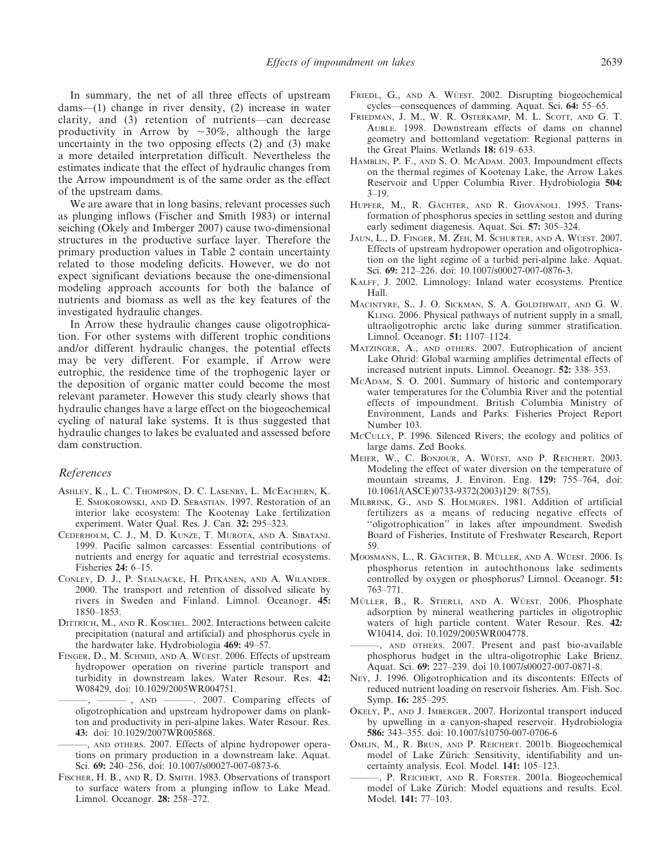In summary, the net of all three effects of upstream dams—(1) change in river density, (2) increase in water clarity, and (3) retention of nutrients—can decrease productivity in Arrow by  $\sim 30\%$ , although the large uncertainty in the two opposing effects (2) and (3) make a more detailed interpretation difficult. Nevertheless the estimates indicate that the effect of hydraulic changes from the Arrow impoundment is of the same order as the effect of the upstream dams.

We are aware that in long basins, relevant processes such as plunging inflows (Fischer and Smith 1983) or internal seiching (Okely and Imberger 2007) cause two-dimensional structures in the productive surface layer. Therefore the primary production values in Table 2 contain uncertainty related to those modeling deficits. However, we do not expect significant deviations because the one-dimensional modeling approach accounts for both the balance of nutrients and biomass as well as the key features of the investigated hydraulic changes.

In Arrow these hydraulic changes cause oligotrophication. For other systems with different trophic conditions and/or different hydraulic changes, the potential effects may be very different. For example, if Arrow were eutrophic, the residence time of the trophogenic layer or the deposition of organic matter could become the most relevant parameter. However this study clearly shows that hydraulic changes have a large effect on the biogeochemical cycling of natural lake systems. It is thus suggested that hydraulic changes to lakes be evaluated and assessed before dam construction.

#### References

- ASHLEY, K., L. C. THOMPSON, D. C. LASENBY, L. MCEACHERN, K. E. SMOKOROWSKI, AND D. SEBASTIAN. 1997. Restoration of an interior lake ecosystem: The Kootenay Lake fertilization experiment. Water Qual. Res. J. Can. 32: 295–323.
- CEDERHOLM, C. J., M. D. KUNZE, T. MUROTA, AND A. SIBATANI. 1999. Pacific salmon carcasses: Essential contributions of nutrients and energy for aquatic and terrestrial ecosystems. Fisheries 24: 6–15.
- CONLEY, D. J., P. STALNACKE, H. PITKANEN, AND A. WILANDER. 2000. The transport and retention of dissolved silicate by rivers in Sweden and Finland. Limnol. Oceanogr. 45: 1850–1853.
- DITTRICH, M., AND R. KOSCHEL. 2002. Interactions between calcite precipitation (natural and artificial) and phosphorus cycle in the hardwater lake. Hydrobiologia 469: 49–57.
- FINGER, D., M. SCHMID, AND A. WÜEST. 2006. Effects of upstream hydropower operation on riverine particle transport and turbidity in downstream lakes. Water Resour. Res. 42: W08429, doi: 10.1029/2005WR004751.
	- $-$ , AND  $\longrightarrow$  2007. Comparing effects of oligotrophication and upstream hydropower dams on plankton and productivity in peri-alpine lakes. Water Resour. Res. 43: doi: 10.1029/2007WR005868.
	- ———, AND oTHERS. 2007. Effects of alpine hydropower operations on primary production in a downstream lake. Aquat. Sci. 69: 240–256, doi: 10.1007/s00027-007-0873-6.
- FISCHER, H. B., AND R. D. SMITH. 1983. Observations of transport to surface waters from a plunging inflow to Lake Mead. Limnol. Oceanogr. 28: 258–272.
- FRIEDL, G., AND A. WÜEST. 2002. Disrupting biogeochemical cycles—consequences of damming. Aquat. Sci. 64: 55–65.
- FRIEDMAN, J. M., W. R. OSTERKAMP, M. L. SCOTT, AND G. T. AUBLE. 1998. Downstream effects of dams on channel geometry and bottomland vegetation: Regional patterns in the Great Plains. Wetlands 18: 619–633.
- HAMBLIN, P. F., AND S. O. MCADAM. 2003. Impoundment effects on the thermal regimes of Kootenay Lake, the Arrow Lakes Reservoir and Upper Columbia River. Hydrobiologia 504: 3–19.
- HUPFER, M., R. GÄCHTER, AND R. GIOVANOLI. 1995. Transformation of phosphorus species in settling seston and during early sediment diagenesis. Aquat. Sci. 57: 305–324.
- JAUN, L., D. FINGER, M. ZEH, M. SCHURTER, AND A. WÜEST. 2007. Effects of upstream hydropower operation and oligotrophication on the light regime of a turbid peri-alpine lake. Aquat. Sci. 69: 212–226. doi: 10.1007/s00027-007-0876-3.
- KALFF, J. 2002. Limnology: Inland water ecosystems. Prentice Hall.
- MACINTYRE, S., J. O. SICKMAN, S. A. GOLDTHWAIT, AND G. W. KLING. 2006. Physical pathways of nutrient supply in a small, ultraoligotrophic arctic lake during summer stratification. Limnol. Oceanogr. 51: 1107–1124.
- MATZINGER, A., AND oTHERS. 2007. Eutrophication of ancient Lake Ohrid: Global warming amplifies detrimental effects of increased nutrient inputs. Limnol. Oceanogr. 52: 338–353.
- MCADAM, S. O. 2001. Summary of historic and contemporary water temperatures for the Columbia River and the potential effects of impoundment. British Columbia Ministry of Environment, Lands and Parks. Fisheries Project Report Number 103.
- MCCULLY, P. 1996. Silenced Rivers; the ecology and politics of large dams. Zed Books.
- MEIER, W., C. BONJOUR, A. WÜEST, AND P. REICHERT. 2003. Modeling the effect of water diversion on the temperature of mountain streams, J. Environ. Eng. 129: 755–764, doi: 10.1061/(ASCE)0733-9372(2003)129: 8(755).
- MILBRINK, G., AND S. HOLMGREN. 1981. Addition of artificial fertilizers as a means of reducing negative effects of ''oligotrophication'' in lakes after impoundment. Swedish Board of Fisheries, Institute of Freshwater Research, Report 59.
- MOOSMANN, L., R. GÄCHTER, B. MÜLLER, AND A. WÜEST. 2006. Is phosphorus retention in autochthonous lake sediments controlled by oxygen or phosphorus? Limnol. Oceanogr. 51: 763–771.
- MÜLLER, B., R. STIERLI, AND A. WÜEST. 2006. Phosphate adsorption by mineral weathering particles in oligotrophic waters of high particle content. Water Resour. Res. 42: W10414, doi: 10.1029/2005WR004778.
- ———, AND oTHERS. 2007. Present and past bio-available phosphorus budget in the ultra-oligotrophic Lake Brienz. Aquat. Sci. 69: 227–239. doi 10.1007/s00027-007-0871-8.
- NEY, J. 1996. Oligotrophication and its discontents: Effects of reduced nutrient loading on reservoir fisheries. Am. Fish. Soc. Symp. 16: 285–295.
- OKELY, P., AND J. IMBERGER. 2007. Horizontal transport induced by upwelling in a canyon-shaped reservoir. Hydrobiologia 586: 343–355. doi: 10.1007/s10750-007-0706-6
- OMLIN, M., R. BRUN, AND P. REICHERT. 2001b. Biogeochemical model of Lake Zürich: Sensitivity, identifiability and uncertainty analysis. Ecol. Model. 141: 105–123.
- P. REICHERT, AND R. FORSTER. 2001a. Biogeochemical model of Lake Zürich: Model equations and results. Ecol. Model. 141: 77–103.